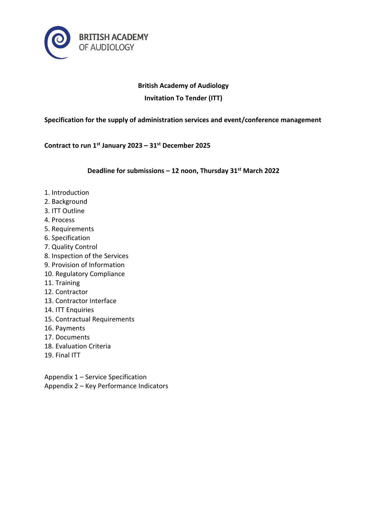

# **British Academy of Audiology**

**Invitation To Tender (ITT)**

**Specification for the supply of administration services and event/conference management**

**Contract to run 1st January 2023 – 31st December 2025**

**Deadline for submissions – 12 noon, Thursday 31st March 2022**

- 1. Introduction
- 2. Background
- 3. ITT Outline
- 4. Process
- 5. Requirements
- 6. Specification
- 7. Quality Control
- 8. Inspection of the Services
- 9. Provision of Information
- 10. Regulatory Compliance
- 11. Training
- 12. Contractor
- 13. Contractor Interface
- 14. ITT Enquiries
- 15. Contractual Requirements
- 16. Payments
- 17. Documents
- 18. Evaluation Criteria
- 19. Final ITT

Appendix 1 – Service Specification Appendix 2 – Key Performance Indicators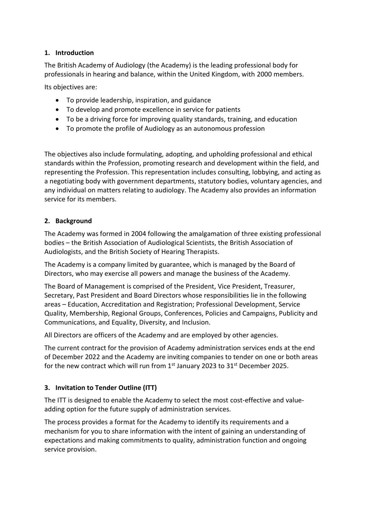# **1. Introduction**

The British Academy of Audiology (the Academy) is the leading professional body for professionals in hearing and balance, within the United Kingdom, with 2000 members.

Its objectives are:

- To provide leadership, inspiration, and guidance
- To develop and promote excellence in service for patients
- To be a driving force for improving quality standards, training, and education
- To promote the profile of Audiology as an autonomous profession

The objectives also include formulating, adopting, and upholding professional and ethical standards within the Profession, promoting research and development within the field, and representing the Profession. This representation includes consulting, lobbying, and acting as a negotiating body with government departments, statutory bodies, voluntary agencies, and any individual on matters relating to audiology. The Academy also provides an information service for its members.

# **2. Background**

The Academy was formed in 2004 following the amalgamation of three existing professional bodies – the British Association of Audiological Scientists, the British Association of Audiologists, and the British Society of Hearing Therapists.

The Academy is a company limited by guarantee, which is managed by the Board of Directors, who may exercise all powers and manage the business of the Academy.

The Board of Management is comprised of the President, Vice President, Treasurer, Secretary, Past President and Board Directors whose responsibilities lie in the following areas – Education, Accreditation and Registration; Professional Development, Service Quality, Membership, Regional Groups, Conferences, Policies and Campaigns, Publicity and Communications, and Equality, Diversity, and Inclusion.

All Directors are officers of the Academy and are employed by other agencies.

The current contract for the provision of Academy administration services ends at the end of December 2022 and the Academy are inviting companies to tender on one or both areas for the new contract which will run from  $1<sup>st</sup>$  January 2023 to 31 $<sup>st</sup>$  December 2025.</sup>

# **3. Invitation to Tender Outline (ITT)**

The ITT is designed to enable the Academy to select the most cost-effective and valueadding option for the future supply of administration services.

The process provides a format for the Academy to identify its requirements and a mechanism for you to share information with the intent of gaining an understanding of expectations and making commitments to quality, administration function and ongoing service provision.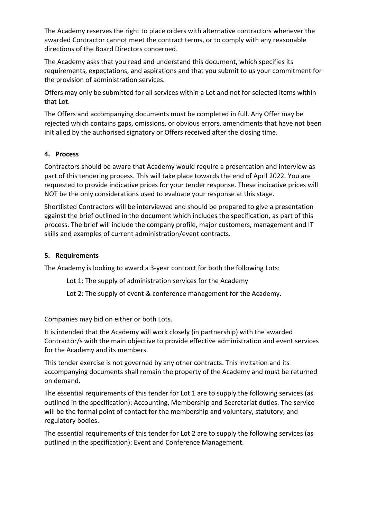The Academy reserves the right to place orders with alternative contractors whenever the awarded Contractor cannot meet the contract terms, or to comply with any reasonable directions of the Board Directors concerned.

The Academy asks that you read and understand this document, which specifies its requirements, expectations, and aspirations and that you submit to us your commitment for the provision of administration services.

Offers may only be submitted for all services within a Lot and not for selected items within that Lot.

The Offers and accompanying documents must be completed in full. Any Offer may be rejected which contains gaps, omissions, or obvious errors, amendments that have not been initialled by the authorised signatory or Offers received after the closing time.

# **4. Process**

Contractors should be aware that Academy would require a presentation and interview as part of this tendering process. This will take place towards the end of April 2022. You are requested to provide indicative prices for your tender response. These indicative prices will NOT be the only considerations used to evaluate your response at this stage.

Shortlisted Contractors will be interviewed and should be prepared to give a presentation against the brief outlined in the document which includes the specification, as part of this process. The brief will include the company profile, major customers, management and IT skills and examples of current administration/event contracts.

# **5. Requirements**

The Academy is looking to award a 3-year contract for both the following Lots:

- Lot 1: The supply of administration services for the Academy
- Lot 2: The supply of event & conference management for the Academy.

Companies may bid on either or both Lots.

It is intended that the Academy will work closely (in partnership) with the awarded Contractor/s with the main objective to provide effective administration and event services for the Academy and its members.

This tender exercise is not governed by any other contracts. This invitation and its accompanying documents shall remain the property of the Academy and must be returned on demand.

The essential requirements of this tender for Lot 1 are to supply the following services (as outlined in the specification): Accounting, Membership and Secretariat duties. The service will be the formal point of contact for the membership and voluntary, statutory, and regulatory bodies.

The essential requirements of this tender for Lot 2 are to supply the following services (as outlined in the specification): Event and Conference Management.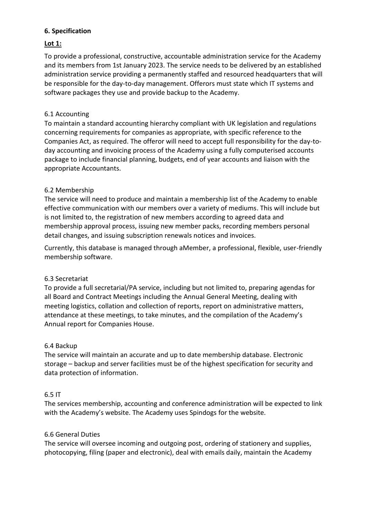# **6. Specification**

# **Lot 1:**

To provide a professional, constructive, accountable administration service for the Academy and its members from 1st January 2023. The service needs to be delivered by an established administration service providing a permanently staffed and resourced headquarters that will be responsible for the day-to-day management. Offerors must state which IT systems and software packages they use and provide backup to the Academy.

# 6.1 Accounting

To maintain a standard accounting hierarchy compliant with UK legislation and regulations concerning requirements for companies as appropriate, with specific reference to the Companies Act, as required. The offeror will need to accept full responsibility for the day-today accounting and invoicing process of the Academy using a fully computerised accounts package to include financial planning, budgets, end of year accounts and liaison with the appropriate Accountants.

### 6.2 Membership

The service will need to produce and maintain a membership list of the Academy to enable effective communication with our members over a variety of mediums. This will include but is not limited to, the registration of new members according to agreed data and membership approval process, issuing new member packs, recording members personal detail changes, and issuing subscription renewals notices and invoices.

Currently, this database is managed through aMember, a professional, flexible, user-friendly membership software.

# 6.3 Secretariat

To provide a full secretarial/PA service, including but not limited to, preparing agendas for all Board and Contract Meetings including the Annual General Meeting, dealing with meeting logistics, collation and collection of reports, report on administrative matters, attendance at these meetings, to take minutes, and the compilation of the Academy's Annual report for Companies House.

#### 6.4 Backup

The service will maintain an accurate and up to date membership database. Electronic storage – backup and server facilities must be of the highest specification for security and data protection of information.

#### 6.5 IT

The services membership, accounting and conference administration will be expected to link with the Academy's website. The Academy uses Spindogs for the website.

#### 6.6 General Duties

The service will oversee incoming and outgoing post, ordering of stationery and supplies, photocopying, filing (paper and electronic), deal with emails daily, maintain the Academy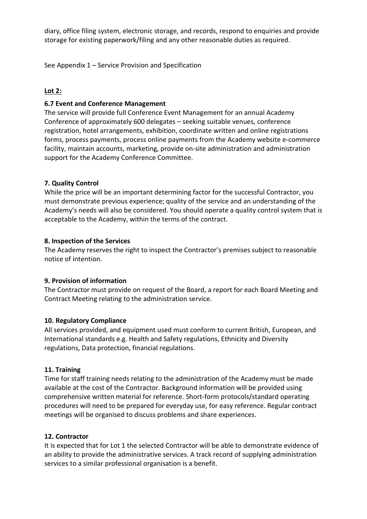diary, office filing system, electronic storage, and records, respond to enquiries and provide storage for existing paperwork/filing and any other reasonable duties as required.

See Appendix 1 – Service Provision and Specification

# **Lot 2:**

#### **6.7 Event and Conference Management**

The service will provide full Conference Event Management for an annual Academy Conference of approximately 600 delegates – seeking suitable venues, conference registration, hotel arrangements, exhibition, coordinate written and online registrations forms, process payments, process online payments from the Academy website e-commerce facility, maintain accounts, marketing, provide on-site administration and administration support for the Academy Conference Committee.

### **7. Quality Control**

While the price will be an important determining factor for the successful Contractor, you must demonstrate previous experience; quality of the service and an understanding of the Academy's needs will also be considered. You should operate a quality control system that is acceptable to the Academy, within the terms of the contract.

#### **8. Inspection of the Services**

The Academy reserves the right to inspect the Contractor's premises subject to reasonable notice of intention.

#### **9. Provision of information**

The Contractor must provide on request of the Board, a report for each Board Meeting and Contract Meeting relating to the administration service.

#### **10. Regulatory Compliance**

All services provided, and equipment used must conform to current British, European, and International standards e.g. Health and Safety regulations, Ethnicity and Diversity regulations, Data protection, financial regulations.

#### **11. Training**

Time for staff training needs relating to the administration of the Academy must be made available at the cost of the Contractor. Background information will be provided using comprehensive written material for reference. Short-form protocols/standard operating procedures will need to be prepared for everyday use, for easy reference. Regular contract meetings will be organised to discuss problems and share experiences.

# **12. Contractor**

It is expected that for Lot 1 the selected Contractor will be able to demonstrate evidence of an ability to provide the administrative services. A track record of supplying administration services to a similar professional organisation is a benefit.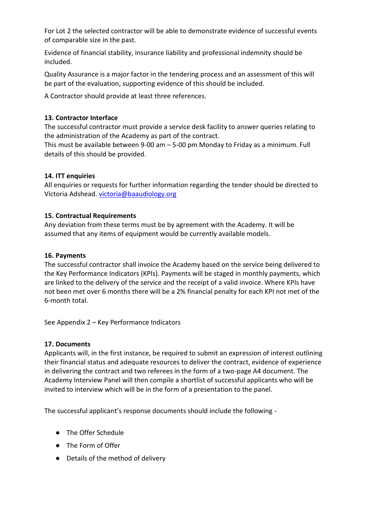For Lot 2 the selected contractor will be able to demonstrate evidence of successful events of comparable size in the past.

Evidence of financial stability, insurance liability and professional indemnity should be included.

Quality Assurance is a major factor in the tendering process and an assessment of this will be part of the evaluation, supporting evidence of this should be included.

A Contractor should provide at least three references.

# **13. Contractor Interface**

The successful contractor must provide a service desk facility to answer queries relating to the administration of the Academy as part of the contract.

This must be available between 9-00 am – 5-00 pm Monday to Friday as a minimum. Full details of this should be provided.

# **14. ITT enquiries**

All enquiries or requests for further information regarding the tender should be directed to Victoria Adshead. [victoria@baaudiology.org](mailto:victoria@baaudiology.org)

# **15. Contractual Requirements**

Any deviation from these terms must be by agreement with the Academy. It will be assumed that any items of equipment would be currently available models.

# **16. Payments**

The successful contractor shall invoice the Academy based on the service being delivered to the Key Performance Indicators (KPIs). Payments will be staged in monthly payments, which are linked to the delivery of the service and the receipt of a valid invoice. Where KPIs have not been met over 6 months there will be a 2% financial penalty for each KPI not met of the 6-month total.

See Appendix 2 – Key Performance Indicators

# **17. Documents**

Applicants will, in the first instance, be required to submit an expression of interest outlining their financial status and adequate resources to deliver the contract, evidence of experience in delivering the contract and two referees in the form of a two-page A4 document. The Academy Interview Panel will then compile a shortlist of successful applicants who will be invited to interview which will be in the form of a presentation to the panel.

The successful applicant's response documents should include the following -

- The Offer Schedule
- The Form of Offer
- Details of the method of delivery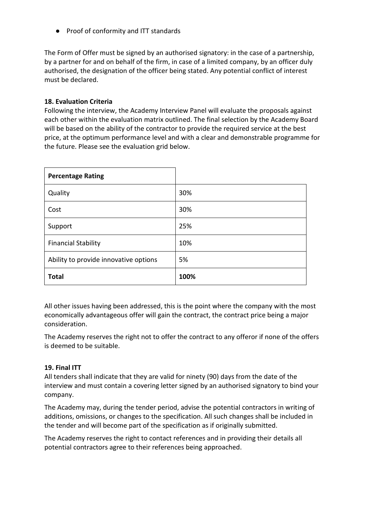● Proof of conformity and ITT standards

The Form of Offer must be signed by an authorised signatory: in the case of a partnership, by a partner for and on behalf of the firm, in case of a limited company, by an officer duly authorised, the designation of the officer being stated. Any potential conflict of interest must be declared.

### **18. Evaluation Criteria**

Following the interview, the Academy Interview Panel will evaluate the proposals against each other within the evaluation matrix outlined. The final selection by the Academy Board will be based on the ability of the contractor to provide the required service at the best price, at the optimum performance level and with a clear and demonstrable programme for the future. Please see the evaluation grid below.

| <b>Percentage Rating</b>              |      |
|---------------------------------------|------|
| Quality                               | 30%  |
| Cost                                  | 30%  |
| Support                               | 25%  |
| <b>Financial Stability</b>            | 10%  |
| Ability to provide innovative options | 5%   |
| <b>Total</b>                          | 100% |

All other issues having been addressed, this is the point where the company with the most economically advantageous offer will gain the contract, the contract price being a major consideration.

The Academy reserves the right not to offer the contract to any offeror if none of the offers is deemed to be suitable.

# **19. Final ITT**

All tenders shall indicate that they are valid for ninety (90) days from the date of the interview and must contain a covering letter signed by an authorised signatory to bind your company.

The Academy may, during the tender period, advise the potential contractors in writing of additions, omissions, or changes to the specification. All such changes shall be included in the tender and will become part of the specification as if originally submitted.

The Academy reserves the right to contact references and in providing their details all potential contractors agree to their references being approached.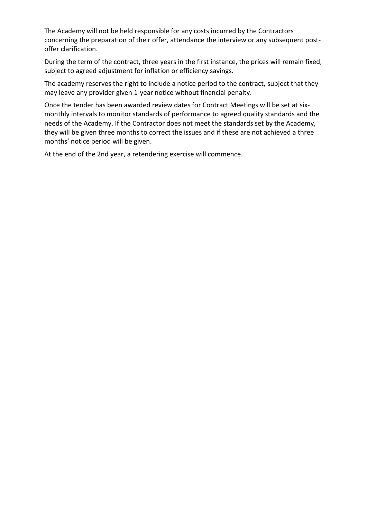The Academy will not be held responsible for any costs incurred by the Contractors concerning the preparation of their offer, attendance the interview or any subsequent postoffer clarification.

During the term of the contract, three years in the first instance, the prices will remain fixed, subject to agreed adjustment for inflation or efficiency savings.

The academy reserves the right to include a notice period to the contract, subject that they may leave any provider given 1-year notice without financial penalty.

Once the tender has been awarded review dates for Contract Meetings will be set at sixmonthly intervals to monitor standards of performance to agreed quality standards and the needs of the Academy. If the Contractor does not meet the standards set by the Academy, they will be given three months to correct the issues and if these are not achieved a three months' notice period will be given.

At the end of the 2nd year, a retendering exercise will commence.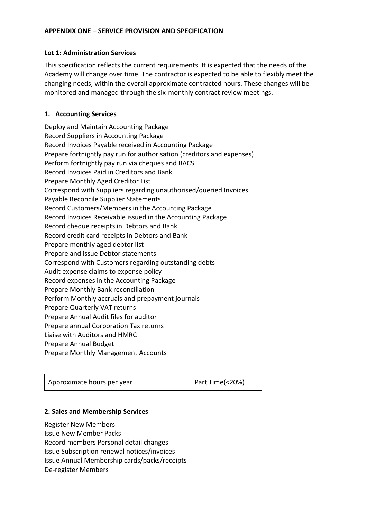#### **APPENDIX ONE – SERVICE PROVISION AND SPECIFICATION**

#### **Lot 1: Administration Services**

This specification reflects the current requirements. It is expected that the needs of the Academy will change over time. The contractor is expected to be able to flexibly meet the changing needs, within the overall approximate contracted hours. These changes will be monitored and managed through the six-monthly contract review meetings.

# **1. Accounting Services**

Deploy and Maintain Accounting Package Record Suppliers in Accounting Package Record Invoices Payable received in Accounting Package Prepare fortnightly pay run for authorisation (creditors and expenses) Perform fortnightly pay run via cheques and BACS Record Invoices Paid in Creditors and Bank Prepare Monthly Aged Creditor List Correspond with Suppliers regarding unauthorised/queried Invoices Payable Reconcile Supplier Statements Record Customers/Members in the Accounting Package Record Invoices Receivable issued in the Accounting Package Record cheque receipts in Debtors and Bank Record credit card receipts in Debtors and Bank Prepare monthly aged debtor list Prepare and issue Debtor statements Correspond with Customers regarding outstanding debts Audit expense claims to expense policy Record expenses in the Accounting Package Prepare Monthly Bank reconciliation Perform Monthly accruals and prepayment journals Prepare Quarterly VAT returns Prepare Annual Audit files for auditor Prepare annual Corporation Tax returns Liaise with Auditors and HMRC Prepare Annual Budget Prepare Monthly Management Accounts

| Approximate hours per year | Part Time(<20%) |
|----------------------------|-----------------|
|                            |                 |

#### **2. Sales and Membership Services**

Register New Members Issue New Member Packs Record members Personal detail changes Issue Subscription renewal notices/invoices Issue Annual Membership cards/packs/receipts De-register Members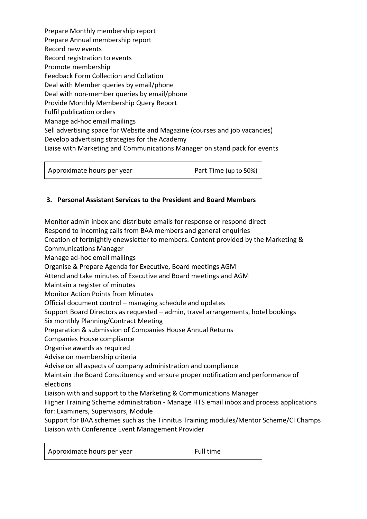Prepare Monthly membership report Prepare Annual membership report Record new events Record registration to events Promote membership Feedback Form Collection and Collation Deal with Member queries by email/phone Deal with non-member queries by email/phone Provide Monthly Membership Query Report Fulfil publication orders Manage ad-hoc email mailings Sell advertising space for Website and Magazine (courses and job vacancies) Develop advertising strategies for the Academy Liaise with Marketing and Communications Manager on stand pack for events

| Approximate hours per year | $\vert$ Part Time (up to 50%) $\vert$ |
|----------------------------|---------------------------------------|
|----------------------------|---------------------------------------|

# **3. Personal Assistant Services to the President and Board Members**

Monitor admin inbox and distribute emails for response or respond direct Respond to incoming calls from BAA members and general enquiries Creation of fortnightly enewsletter to members. Content provided by the Marketing & Communications Manager Manage ad-hoc email mailings Organise & Prepare Agenda for Executive, Board meetings AGM Attend and take minutes of Executive and Board meetings and AGM Maintain a register of minutes Monitor Action Points from Minutes Official document control – managing schedule and updates Support Board Directors as requested – admin, travel arrangements, hotel bookings Six monthly Planning/Contract Meeting Preparation & submission of Companies House Annual Returns Companies House compliance Organise awards as required Advise on membership criteria Advise on all aspects of company administration and compliance Maintain the Board Constituency and ensure proper notification and performance of elections Liaison with and support to the Marketing & Communications Manager Higher Training Scheme administration - Manage HTS email inbox and process applications for: Examiners, Supervisors, Module

Support for BAA schemes such as the Tinnitus Training modules/Mentor Scheme/CI Champs Liaison with Conference Event Management Provider

| Approximate hours per year | Full time |
|----------------------------|-----------|
|----------------------------|-----------|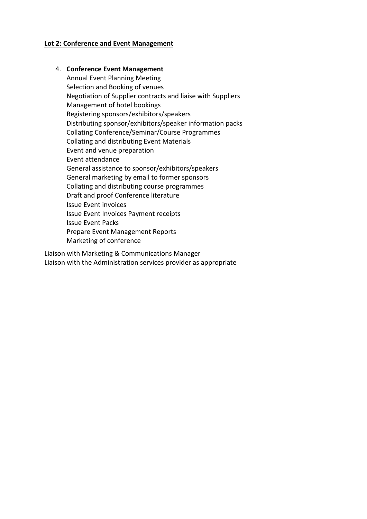#### **Lot 2: Conference and Event Management**

#### 4. **Conference Event Management**

Annual Event Planning Meeting Selection and Booking of venues Negotiation of Supplier contracts and liaise with Suppliers Management of hotel bookings Registering sponsors/exhibitors/speakers Distributing sponsor/exhibitors/speaker information packs Collating Conference/Seminar/Course Programmes Collating and distributing Event Materials Event and venue preparation Event attendance General assistance to sponsor/exhibitors/speakers General marketing by email to former sponsors Collating and distributing course programmes Draft and proof Conference literature Issue Event invoices Issue Event Invoices Payment receipts Issue Event Packs Prepare Event Management Reports Marketing of conference

Liaison with Marketing & Communications Manager Liaison with the Administration services provider as appropriate